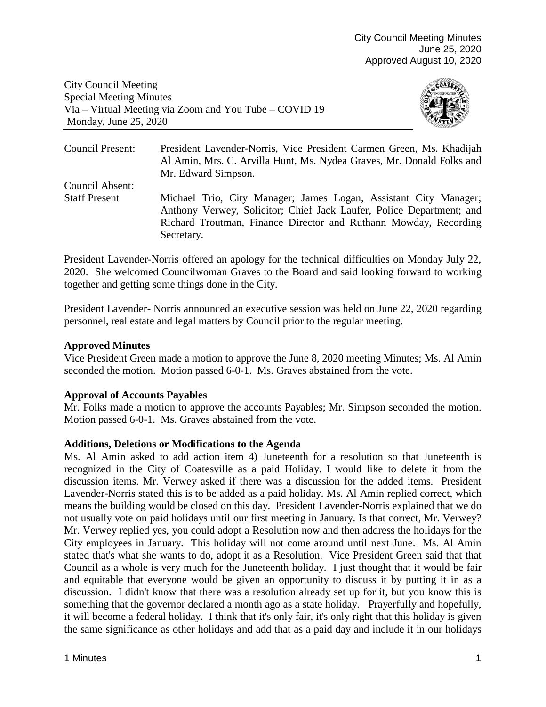City Council Meeting Special Meeting Minutes Via – Virtual Meeting via Zoom and You Tube – COVID 19 Monday, June 25, 2020



Council Present: President Lavender-Norris, Vice President Carmen Green, Ms. Khadijah Al Amin, Mrs. C. Arvilla Hunt, Ms. Nydea Graves, Mr. Donald Folks and Mr. Edward Simpson. Council Absent: Staff Present Michael Trio, City Manager; James Logan, Assistant City Manager; Anthony Verwey, Solicitor; Chief Jack Laufer, Police Department; and Richard Troutman, Finance Director and Ruthann Mowday, Recording Secretary.

President Lavender-Norris offered an apology for the technical difficulties on Monday July 22, 2020. She welcomed Councilwoman Graves to the Board and said looking forward to working together and getting some things done in the City.

President Lavender- Norris announced an executive session was held on June 22, 2020 regarding personnel, real estate and legal matters by Council prior to the regular meeting.

# **Approved Minutes**

Vice President Green made a motion to approve the June 8, 2020 meeting Minutes; Ms. Al Amin seconded the motion. Motion passed 6-0-1. Ms. Graves abstained from the vote.

# **Approval of Accounts Payables**

Mr. Folks made a motion to approve the accounts Payables; Mr. Simpson seconded the motion. Motion passed 6-0-1. Ms. Graves abstained from the vote.

# **Additions, Deletions or Modifications to the Agenda**

Ms. Al Amin asked to add action item 4) Juneteenth for a resolution so that Juneteenth is recognized in the City of Coatesville as a paid Holiday. I would like to delete it from the discussion items. Mr. Verwey asked if there was a discussion for the added items. President Lavender-Norris stated this is to be added as a paid holiday. Ms. Al Amin replied correct, which means the building would be closed on this day. President Lavender-Norris explained that we do not usually vote on paid holidays until our first meeting in January. Is that correct, Mr. Verwey? Mr. Verwey replied yes, you could adopt a Resolution now and then address the holidays for the City employees in January. This holiday will not come around until next June. Ms. Al Amin stated that's what she wants to do, adopt it as a Resolution. Vice President Green said that that Council as a whole is very much for the Juneteenth holiday. I just thought that it would be fair and equitable that everyone would be given an opportunity to discuss it by putting it in as a discussion. I didn't know that there was a resolution already set up for it, but you know this is something that the governor declared a month ago as a state holiday. Prayerfully and hopefully, it will become a federal holiday. I think that it's only fair, it's only right that this holiday is given the same significance as other holidays and add that as a paid day and include it in our holidays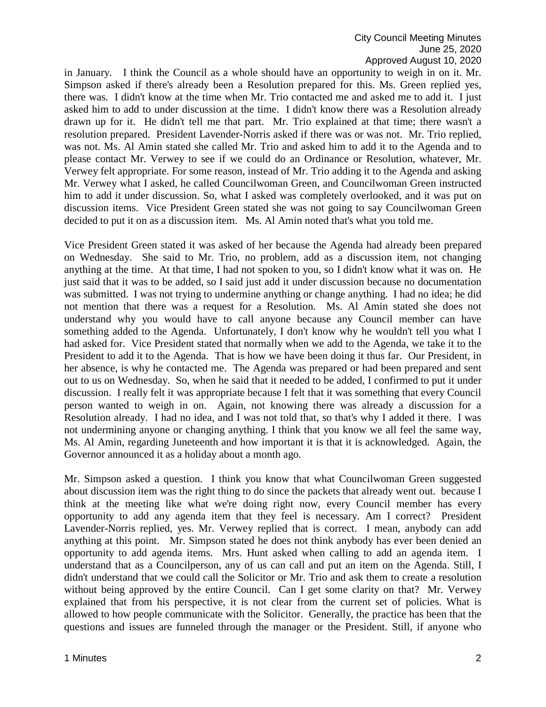in January. I think the Council as a whole should have an opportunity to weigh in on it. Mr. Simpson asked if there's already been a Resolution prepared for this. Ms. Green replied yes, there was. I didn't know at the time when Mr. Trio contacted me and asked me to add it. I just asked him to add to under discussion at the time. I didn't know there was a Resolution already drawn up for it. He didn't tell me that part. Mr. Trio explained at that time; there wasn't a resolution prepared. President Lavender-Norris asked if there was or was not. Mr. Trio replied, was not. Ms. Al Amin stated she called Mr. Trio and asked him to add it to the Agenda and to please contact Mr. Verwey to see if we could do an Ordinance or Resolution, whatever, Mr. Verwey felt appropriate. For some reason, instead of Mr. Trio adding it to the Agenda and asking Mr. Verwey what I asked, he called Councilwoman Green, and Councilwoman Green instructed him to add it under discussion. So, what I asked was completely overlooked, and it was put on discussion items. Vice President Green stated she was not going to say Councilwoman Green decided to put it on as a discussion item. Ms. Al Amin noted that's what you told me.

Vice President Green stated it was asked of her because the Agenda had already been prepared on Wednesday. She said to Mr. Trio, no problem, add as a discussion item, not changing anything at the time. At that time, I had not spoken to you, so I didn't know what it was on. He just said that it was to be added, so I said just add it under discussion because no documentation was submitted. I was not trying to undermine anything or change anything. I had no idea; he did not mention that there was a request for a Resolution. Ms. Al Amin stated she does not understand why you would have to call anyone because any Council member can have something added to the Agenda. Unfortunately, I don't know why he wouldn't tell you what I had asked for. Vice President stated that normally when we add to the Agenda, we take it to the President to add it to the Agenda. That is how we have been doing it thus far. Our President, in her absence, is why he contacted me. The Agenda was prepared or had been prepared and sent out to us on Wednesday. So, when he said that it needed to be added, I confirmed to put it under discussion. I really felt it was appropriate because I felt that it was something that every Council person wanted to weigh in on. Again, not knowing there was already a discussion for a Resolution already. I had no idea, and I was not told that, so that's why I added it there. I was not undermining anyone or changing anything. I think that you know we all feel the same way, Ms. Al Amin, regarding Juneteenth and how important it is that it is acknowledged. Again, the Governor announced it as a holiday about a month ago.

Mr. Simpson asked a question. I think you know that what Councilwoman Green suggested about discussion item was the right thing to do since the packets that already went out. because I think at the meeting like what we're doing right now, every Council member has every opportunity to add any agenda item that they feel is necessary. Am I correct? President Lavender-Norris replied, yes. Mr. Verwey replied that is correct. I mean, anybody can add anything at this point. Mr. Simpson stated he does not think anybody has ever been denied an opportunity to add agenda items. Mrs. Hunt asked when calling to add an agenda item. I understand that as a Councilperson, any of us can call and put an item on the Agenda. Still, I didn't understand that we could call the Solicitor or Mr. Trio and ask them to create a resolution without being approved by the entire Council. Can I get some clarity on that? Mr. Verwey explained that from his perspective, it is not clear from the current set of policies. What is allowed to how people communicate with the Solicitor. Generally, the practice has been that the questions and issues are funneled through the manager or the President. Still, if anyone who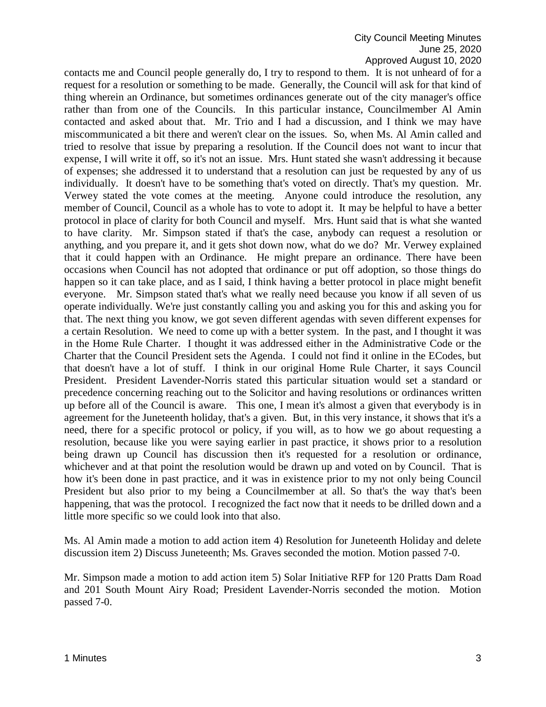contacts me and Council people generally do, I try to respond to them. It is not unheard of for a request for a resolution or something to be made. Generally, the Council will ask for that kind of thing wherein an Ordinance, but sometimes ordinances generate out of the city manager's office rather than from one of the Councils. In this particular instance, Councilmember Al Amin contacted and asked about that. Mr. Trio and I had a discussion, and I think we may have miscommunicated a bit there and weren't clear on the issues. So, when Ms. Al Amin called and tried to resolve that issue by preparing a resolution. If the Council does not want to incur that expense, I will write it off, so it's not an issue. Mrs. Hunt stated she wasn't addressing it because of expenses; she addressed it to understand that a resolution can just be requested by any of us individually. It doesn't have to be something that's voted on directly. That's my question. Mr. Verwey stated the vote comes at the meeting. Anyone could introduce the resolution, any member of Council, Council as a whole has to vote to adopt it. It may be helpful to have a better protocol in place of clarity for both Council and myself. Mrs. Hunt said that is what she wanted to have clarity. Mr. Simpson stated if that's the case, anybody can request a resolution or anything, and you prepare it, and it gets shot down now, what do we do? Mr. Verwey explained that it could happen with an Ordinance. He might prepare an ordinance. There have been occasions when Council has not adopted that ordinance or put off adoption, so those things do happen so it can take place, and as I said, I think having a better protocol in place might benefit everyone. Mr. Simpson stated that's what we really need because you know if all seven of us operate individually. We're just constantly calling you and asking you for this and asking you for that. The next thing you know, we got seven different agendas with seven different expenses for a certain Resolution. We need to come up with a better system. In the past, and I thought it was in the Home Rule Charter. I thought it was addressed either in the Administrative Code or the Charter that the Council President sets the Agenda. I could not find it online in the ECodes, but that doesn't have a lot of stuff. I think in our original Home Rule Charter, it says Council President. President Lavender-Norris stated this particular situation would set a standard or precedence concerning reaching out to the Solicitor and having resolutions or ordinances written up before all of the Council is aware. This one, I mean it's almost a given that everybody is in agreement for the Juneteenth holiday, that's a given. But, in this very instance, it shows that it's a need, there for a specific protocol or policy, if you will, as to how we go about requesting a resolution, because like you were saying earlier in past practice, it shows prior to a resolution being drawn up Council has discussion then it's requested for a resolution or ordinance, whichever and at that point the resolution would be drawn up and voted on by Council. That is how it's been done in past practice, and it was in existence prior to my not only being Council President but also prior to my being a Councilmember at all. So that's the way that's been happening, that was the protocol. I recognized the fact now that it needs to be drilled down and a little more specific so we could look into that also.

Ms. Al Amin made a motion to add action item 4) Resolution for Juneteenth Holiday and delete discussion item 2) Discuss Juneteenth; Ms. Graves seconded the motion. Motion passed 7-0.

Mr. Simpson made a motion to add action item 5) Solar Initiative RFP for 120 Pratts Dam Road and 201 South Mount Airy Road; President Lavender-Norris seconded the motion. Motion passed 7-0.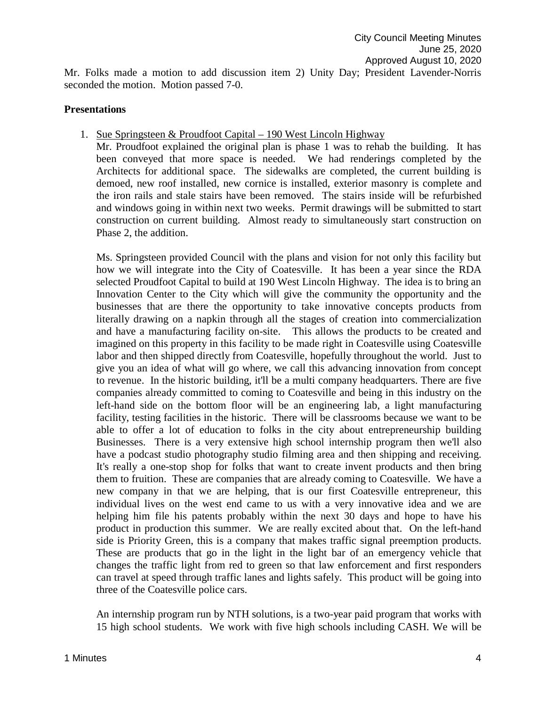Mr. Folks made a motion to add discussion item 2) Unity Day; President Lavender-Norris seconded the motion. Motion passed 7-0.

#### **Presentations**

1. Sue Springsteen & Proudfoot Capital – 190 West Lincoln Highway

Mr. Proudfoot explained the original plan is phase 1 was to rehab the building. It has been conveyed that more space is needed. We had renderings completed by the Architects for additional space. The sidewalks are completed, the current building is demoed, new roof installed, new cornice is installed, exterior masonry is complete and the iron rails and stale stairs have been removed. The stairs inside will be refurbished and windows going in within next two weeks. Permit drawings will be submitted to start construction on current building. Almost ready to simultaneously start construction on Phase 2, the addition.

Ms. Springsteen provided Council with the plans and vision for not only this facility but how we will integrate into the City of Coatesville. It has been a year since the RDA selected Proudfoot Capital to build at 190 West Lincoln Highway. The idea is to bring an Innovation Center to the City which will give the community the opportunity and the businesses that are there the opportunity to take innovative concepts products from literally drawing on a napkin through all the stages of creation into commercialization and have a manufacturing facility on-site. This allows the products to be created and imagined on this property in this facility to be made right in Coatesville using Coatesville labor and then shipped directly from Coatesville, hopefully throughout the world. Just to give you an idea of what will go where, we call this advancing innovation from concept to revenue. In the historic building, it'll be a multi company headquarters. There are five companies already committed to coming to Coatesville and being in this industry on the left-hand side on the bottom floor will be an engineering lab, a light manufacturing facility, testing facilities in the historic. There will be classrooms because we want to be able to offer a lot of education to folks in the city about entrepreneurship building Businesses. There is a very extensive high school internship program then we'll also have a podcast studio photography studio filming area and then shipping and receiving. It's really a one-stop shop for folks that want to create invent products and then bring them to fruition. These are companies that are already coming to Coatesville. We have a new company in that we are helping, that is our first Coatesville entrepreneur, this individual lives on the west end came to us with a very innovative idea and we are helping him file his patents probably within the next 30 days and hope to have his product in production this summer. We are really excited about that. On the left-hand side is Priority Green, this is a company that makes traffic signal preemption products. These are products that go in the light in the light bar of an emergency vehicle that changes the traffic light from red to green so that law enforcement and first responders can travel at speed through traffic lanes and lights safely. This product will be going into three of the Coatesville police cars.

An internship program run by NTH solutions, is a two-year paid program that works with 15 high school students. We work with five high schools including CASH. We will be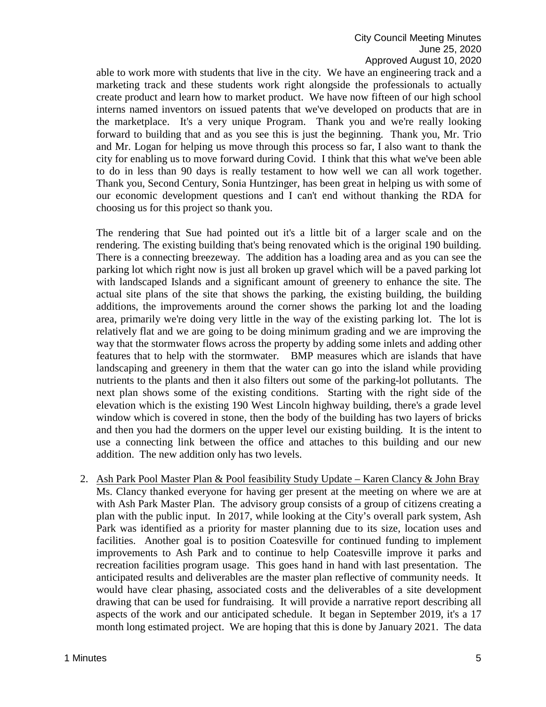able to work more with students that live in the city. We have an engineering track and a marketing track and these students work right alongside the professionals to actually create product and learn how to market product. We have now fifteen of our high school interns named inventors on issued patents that we've developed on products that are in the marketplace. It's a very unique Program. Thank you and we're really looking forward to building that and as you see this is just the beginning. Thank you, Mr. Trio and Mr. Logan for helping us move through this process so far, I also want to thank the city for enabling us to move forward during Covid. I think that this what we've been able to do in less than 90 days is really testament to how well we can all work together. Thank you, Second Century, Sonia Huntzinger, has been great in helping us with some of our economic development questions and I can't end without thanking the RDA for choosing us for this project so thank you.

The rendering that Sue had pointed out it's a little bit of a larger scale and on the rendering. The existing building that's being renovated which is the original 190 building. There is a connecting breezeway. The addition has a loading area and as you can see the parking lot which right now is just all broken up gravel which will be a paved parking lot with landscaped Islands and a significant amount of greenery to enhance the site. The actual site plans of the site that shows the parking, the existing building, the building additions, the improvements around the corner shows the parking lot and the loading area, primarily we're doing very little in the way of the existing parking lot. The lot is relatively flat and we are going to be doing minimum grading and we are improving the way that the stormwater flows across the property by adding some inlets and adding other features that to help with the stormwater. BMP measures which are islands that have landscaping and greenery in them that the water can go into the island while providing nutrients to the plants and then it also filters out some of the parking-lot pollutants. The next plan shows some of the existing conditions. Starting with the right side of the elevation which is the existing 190 West Lincoln highway building, there's a grade level window which is covered in stone, then the body of the building has two layers of bricks and then you had the dormers on the upper level our existing building. It is the intent to use a connecting link between the office and attaches to this building and our new addition. The new addition only has two levels.

2. Ash Park Pool Master Plan & Pool feasibility Study Update – Karen Clancy & John Bray Ms. Clancy thanked everyone for having ger present at the meeting on where we are at with Ash Park Master Plan. The advisory group consists of a group of citizens creating a plan with the public input. In 2017, while looking at the City's overall park system, Ash Park was identified as a priority for master planning due to its size, location uses and facilities. Another goal is to position Coatesville for continued funding to implement improvements to Ash Park and to continue to help Coatesville improve it parks and recreation facilities program usage. This goes hand in hand with last presentation. The anticipated results and deliverables are the master plan reflective of community needs. It would have clear phasing, associated costs and the deliverables of a site development drawing that can be used for fundraising. It will provide a narrative report describing all aspects of the work and our anticipated schedule. It began in September 2019, it's a 17 month long estimated project. We are hoping that this is done by January 2021. The data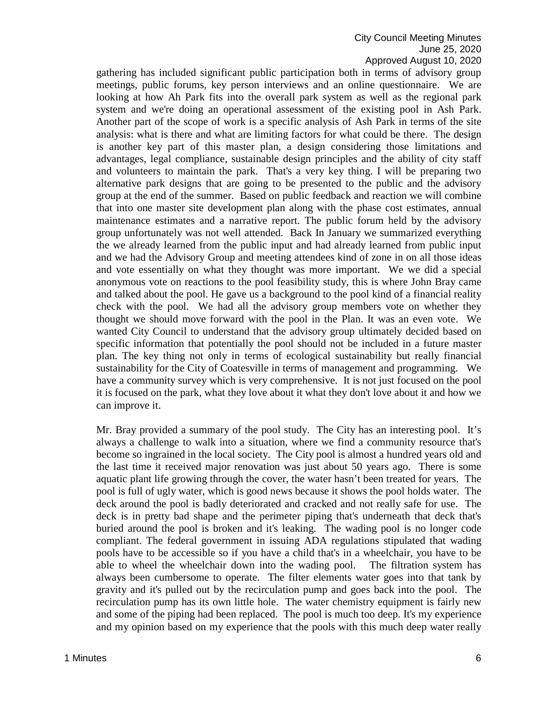#### City Council Meeting Minutes June 25, 2020 Approved August 10, 2020

gathering has included significant public participation both in terms of advisory group meetings, public forums, key person interviews and an online questionnaire. We are looking at how Ah Park fits into the overall park system as well as the regional park system and we're doing an operational assessment of the existing pool in Ash Park. Another part of the scope of work is a specific analysis of Ash Park in terms of the site analysis: what is there and what are limiting factors for what could be there. The design is another key part of this master plan, a design considering those limitations and advantages, legal compliance, sustainable design principles and the ability of city staff and volunteers to maintain the park. That's a very key thing. I will be preparing two alternative park designs that are going to be presented to the public and the advisory group at the end of the summer. Based on public feedback and reaction we will combine that into one master site development plan along with the phase cost estimates, annual maintenance estimates and a narrative report. The public forum held by the advisory group unfortunately was not well attended. Back In January we summarized everything the we already learned from the public input and had already learned from public input and we had the Advisory Group and meeting attendees kind of zone in on all those ideas and vote essentially on what they thought was more important. We we did a special anonymous vote on reactions to the pool feasibility study, this is where John Bray came and talked about the pool. He gave us a background to the pool kind of a financial reality check with the pool. We had all the advisory group members vote on whether they thought we should move forward with the pool in the Plan. It was an even vote. We wanted City Council to understand that the advisory group ultimately decided based on specific information that potentially the pool should not be included in a future master plan. The key thing not only in terms of ecological sustainability but really financial sustainability for the City of Coatesville in terms of management and programming. We have a community survey which is very comprehensive. It is not just focused on the pool it is focused on the park, what they love about it what they don't love about it and how we can improve it.

Mr. Bray provided a summary of the pool study. The City has an interesting pool. It's always a challenge to walk into a situation, where we find a community resource that's become so ingrained in the local society. The City pool is almost a hundred years old and the last time it received major renovation was just about 50 years ago. There is some aquatic plant life growing through the cover, the water hasn't been treated for years. The pool is full of ugly water, which is good news because it shows the pool holds water. The deck around the pool is badly deteriorated and cracked and not really safe for use. The deck is in pretty bad shape and the perimeter piping that's underneath that deck that's buried around the pool is broken and it's leaking. The wading pool is no longer code compliant. The federal government in issuing ADA regulations stipulated that wading pools have to be accessible so if you have a child that's in a wheelchair, you have to be able to wheel the wheelchair down into the wading pool. The filtration system has always been cumbersome to operate. The filter elements water goes into that tank by gravity and it's pulled out by the recirculation pump and goes back into the pool. The recirculation pump has its own little hole. The water chemistry equipment is fairly new and some of the piping had been replaced. The pool is much too deep. It's my experience and my opinion based on my experience that the pools with this much deep water really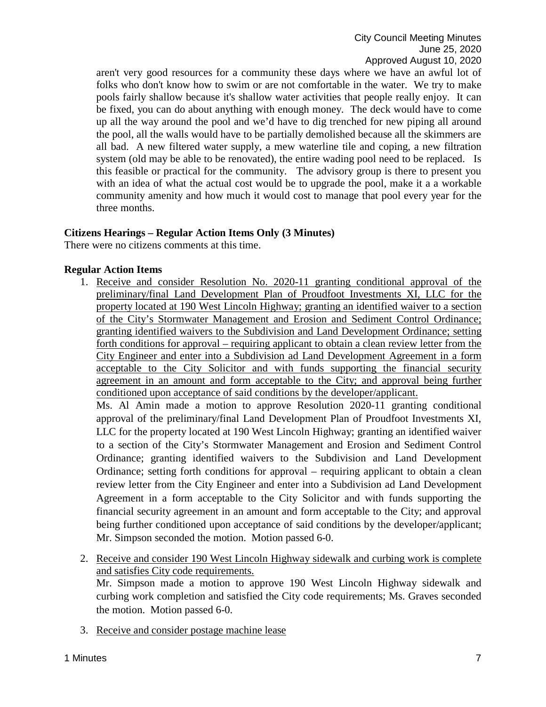aren't very good resources for a community these days where we have an awful lot of folks who don't know how to swim or are not comfortable in the water. We try to make pools fairly shallow because it's shallow water activities that people really enjoy. It can be fixed, you can do about anything with enough money. The deck would have to come up all the way around the pool and we'd have to dig trenched for new piping all around the pool, all the walls would have to be partially demolished because all the skimmers are all bad. A new filtered water supply, a mew waterline tile and coping, a new filtration system (old may be able to be renovated), the entire wading pool need to be replaced. Is this feasible or practical for the community. The advisory group is there to present you with an idea of what the actual cost would be to upgrade the pool, make it a a workable community amenity and how much it would cost to manage that pool every year for the three months.

## **Citizens Hearings – Regular Action Items Only (3 Minutes)**

There were no citizens comments at this time.

## **Regular Action Items**

1. Receive and consider Resolution No. 2020-11 granting conditional approval of the preliminary/final Land Development Plan of Proudfoot Investments XI, LLC for the property located at 190 West Lincoln Highway; granting an identified waiver to a section of the City's Stormwater Management and Erosion and Sediment Control Ordinance; granting identified waivers to the Subdivision and Land Development Ordinance; setting forth conditions for approval – requiring applicant to obtain a clean review letter from the City Engineer and enter into a Subdivision ad Land Development Agreement in a form acceptable to the City Solicitor and with funds supporting the financial security agreement in an amount and form acceptable to the City; and approval being further conditioned upon acceptance of said conditions by the developer/applicant.

Ms. Al Amin made a motion to approve Resolution 2020-11 granting conditional approval of the preliminary/final Land Development Plan of Proudfoot Investments XI, LLC for the property located at 190 West Lincoln Highway; granting an identified waiver to a section of the City's Stormwater Management and Erosion and Sediment Control Ordinance; granting identified waivers to the Subdivision and Land Development Ordinance; setting forth conditions for approval – requiring applicant to obtain a clean review letter from the City Engineer and enter into a Subdivision ad Land Development Agreement in a form acceptable to the City Solicitor and with funds supporting the financial security agreement in an amount and form acceptable to the City; and approval being further conditioned upon acceptance of said conditions by the developer/applicant; Mr. Simpson seconded the motion. Motion passed 6-0.

- 2. Receive and consider 190 West Lincoln Highway sidewalk and curbing work is complete and satisfies City code requirements. Mr. Simpson made a motion to approve 190 West Lincoln Highway sidewalk and curbing work completion and satisfied the City code requirements; Ms. Graves seconded the motion. Motion passed 6-0.
- 3. Receive and consider postage machine lease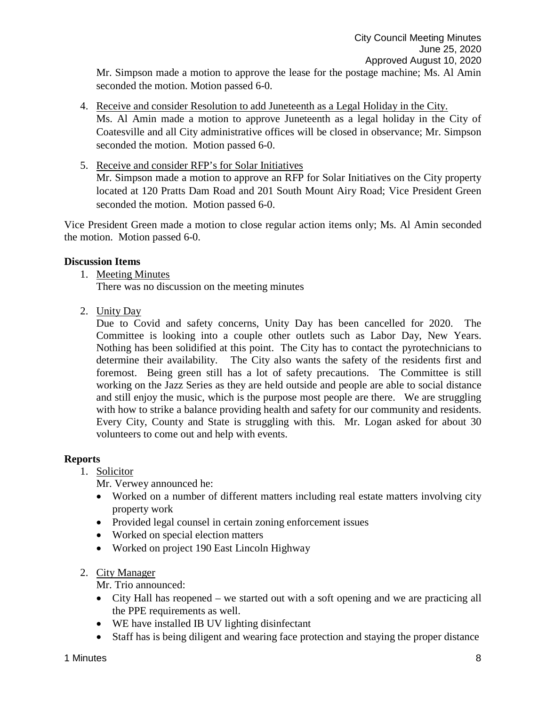Mr. Simpson made a motion to approve the lease for the postage machine; Ms. Al Amin seconded the motion. Motion passed 6-0.

- 4. Receive and consider Resolution to add Juneteenth as a Legal Holiday in the City. Ms. Al Amin made a motion to approve Juneteenth as a legal holiday in the City of Coatesville and all City administrative offices will be closed in observance; Mr. Simpson seconded the motion. Motion passed 6-0.
- 5. Receive and consider RFP's for Solar Initiatives Mr. Simpson made a motion to approve an RFP for Solar Initiatives on the City property located at 120 Pratts Dam Road and 201 South Mount Airy Road; Vice President Green seconded the motion. Motion passed 6-0.

Vice President Green made a motion to close regular action items only; Ms. Al Amin seconded the motion. Motion passed 6-0.

## **Discussion Items**

1. Meeting Minutes

There was no discussion on the meeting minutes

2. Unity Day

Due to Covid and safety concerns, Unity Day has been cancelled for 2020. The Committee is looking into a couple other outlets such as Labor Day, New Years. Nothing has been solidified at this point. The City has to contact the pyrotechnicians to determine their availability. The City also wants the safety of the residents first and foremost. Being green still has a lot of safety precautions. The Committee is still working on the Jazz Series as they are held outside and people are able to social distance and still enjoy the music, which is the purpose most people are there. We are struggling with how to strike a balance providing health and safety for our community and residents. Every City, County and State is struggling with this. Mr. Logan asked for about 30 volunteers to come out and help with events.

#### **Reports**

# 1. Solicitor

Mr. Verwey announced he:

- Worked on a number of different matters including real estate matters involving city property work
- Provided legal counsel in certain zoning enforcement issues
- Worked on special election matters
- Worked on project 190 East Lincoln Highway
- 2. City Manager

Mr. Trio announced:

- City Hall has reopened we started out with a soft opening and we are practicing all the PPE requirements as well.
- WE have installed IB UV lighting disinfectant
- Staff has is being diligent and wearing face protection and staying the proper distance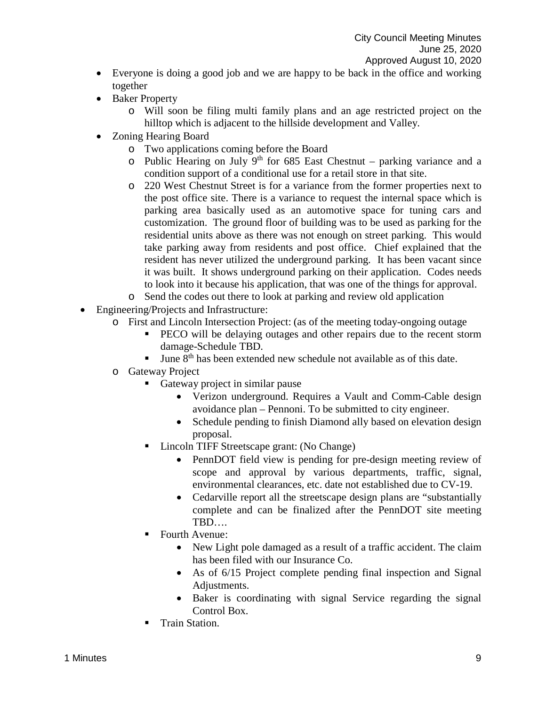- Everyone is doing a good job and we are happy to be back in the office and working together
- Baker Property
	- o Will soon be filing multi family plans and an age restricted project on the hilltop which is adjacent to the hillside development and Valley.
- Zoning Hearing Board
	- o Two applications coming before the Board
	- o Public Hearing on July 9<sup>th</sup> for 685 East Chestnut parking variance and a condition support of a conditional use for a retail store in that site.
	- o 220 West Chestnut Street is for a variance from the former properties next to the post office site. There is a variance to request the internal space which is parking area basically used as an automotive space for tuning cars and customization. The ground floor of building was to be used as parking for the residential units above as there was not enough on street parking. This would take parking away from residents and post office. Chief explained that the resident has never utilized the underground parking. It has been vacant since it was built. It shows underground parking on their application. Codes needs to look into it because his application, that was one of the things for approval.
	- o Send the codes out there to look at parking and review old application
- Engineering/Projects and Infrastructure:
	- o First and Lincoln Intersection Project: (as of the meeting today-ongoing outage
		- PECO will be delaying outages and other repairs due to the recent storm damage-Schedule TBD.
		- June 8<sup>th</sup> has been extended new schedule not available as of this date.
	- o Gateway Project
		- Gateway project in similar pause
			- Verizon underground. Requires a Vault and Comm-Cable design avoidance plan – Pennoni. To be submitted to city engineer.
			- Schedule pending to finish Diamond ally based on elevation design proposal.
		- Lincoln TIFF Streetscape grant: (No Change)
			- PennDOT field view is pending for pre-design meeting review of scope and approval by various departments, traffic, signal, environmental clearances, etc. date not established due to CV-19.
			- Cedarville report all the streetscape design plans are "substantially" complete and can be finalized after the PennDOT site meeting TBD….
		- Fourth Avenue:
			- New Light pole damaged as a result of a traffic accident. The claim has been filed with our Insurance Co.
			- As of 6/15 Project complete pending final inspection and Signal Adjustments.
			- Baker is coordinating with signal Service regarding the signal Control Box.
		- Train Station.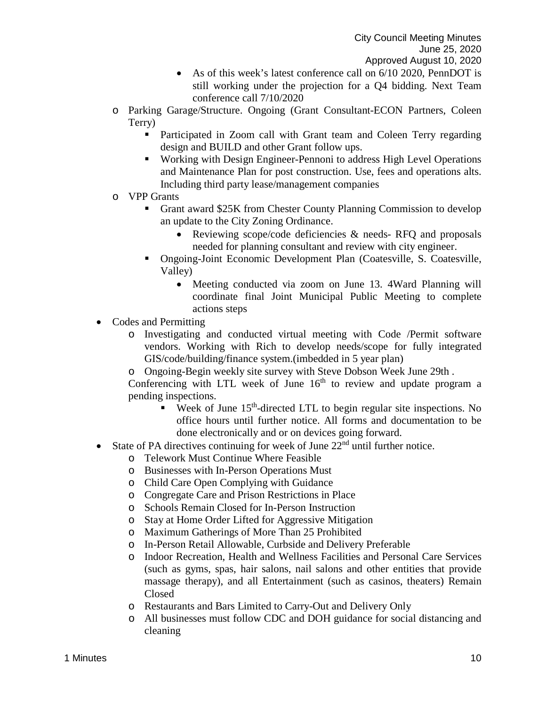- As of this week's latest conference call on 6/10 2020, PennDOT is still working under the projection for a Q4 bidding. Next Team conference call 7/10/2020
- o Parking Garage/Structure. Ongoing (Grant Consultant-ECON Partners, Coleen Terry)
	- **Participated in Zoom call with Grant team and Coleen Terry regarding** design and BUILD and other Grant follow ups.
	- Working with Design Engineer-Pennoni to address High Level Operations and Maintenance Plan for post construction. Use, fees and operations alts. Including third party lease/management companies
- o VPP Grants
	- Grant award \$25K from Chester County Planning Commission to develop an update to the City Zoning Ordinance.
		- Reviewing scope/code deficiencies & needs-RFQ and proposals needed for planning consultant and review with city engineer.
	- Ongoing-Joint Economic Development Plan (Coatesville, S. Coatesville, Valley)
		- Meeting conducted via zoom on June 13. 4Ward Planning will coordinate final Joint Municipal Public Meeting to complete actions steps
- Codes and Permitting
	- o Investigating and conducted virtual meeting with Code /Permit software vendors. Working with Rich to develop needs/scope for fully integrated GIS/code/building/finance system.(imbedded in 5 year plan)
	- o Ongoing-Begin weekly site survey with Steve Dobson Week June 29th .

Conferencing with LTL week of June  $16<sup>th</sup>$  to review and update program a pending inspections.

- Week of June  $15<sup>th</sup>$ -directed LTL to begin regular site inspections. No office hours until further notice. All forms and documentation to be done electronically and or on devices going forward.
- State of PA directives continuing for week of June  $22<sup>nd</sup>$  until further notice.
	- o Telework Must Continue Where Feasible
	- o Businesses with In-Person Operations Must
	- o Child Care Open Complying with Guidance
	- o Congregate Care and Prison Restrictions in Place
	- o Schools Remain Closed for In-Person Instruction
	- o Stay at Home Order Lifted for Aggressive Mitigation
	- o Maximum Gatherings of More Than 25 Prohibited
	- o In-Person Retail Allowable, Curbside and Delivery Preferable
	- o Indoor Recreation, Health and Wellness Facilities and Personal Care Services (such as gyms, spas, hair salons, nail salons and other entities that provide massage therapy), and all Entertainment (such as casinos, theaters) Remain Closed
	- o Restaurants and Bars Limited to Carry-Out and Delivery Only
	- o All businesses must follow CDC and DOH guidance for social distancing and cleaning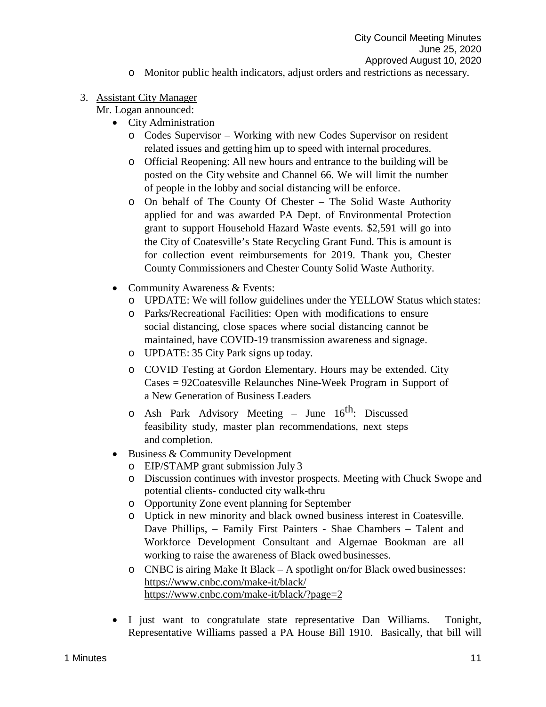o Monitor public health indicators, adjust orders and restrictions as necessary.

# 3. Assistant City Manager

Mr. Logan announced:

- City Administration
	- o Codes Supervisor Working with new Codes Supervisor on resident related issues and getting him up to speed with internal procedures.
	- o Official Reopening: All new hours and entrance to the building will be posted on the City website and Channel 66. We will limit the number of people in the lobby and social distancing will be enforce.
	- o On behalf of The County Of Chester The Solid Waste Authority applied for and was awarded PA Dept. of Environmental Protection grant to support Household Hazard Waste events. \$2,591 will go into the City of Coatesville's State Recycling Grant Fund. This is amount is for collection event reimbursements for 2019. Thank you, Chester County Commissioners and Chester County Solid Waste Authority.
- Community Awareness & Events:
	- o UPDATE: We will follow guidelines under the YELLOW Status which states:
	- o Parks/Recreational Facilities: Open with modifications to ensure social distancing, close spaces where social distancing cannot be maintained, have COVID-19 transmission awareness and signage.
	- o UPDATE: 35 City Park signs up today.
	- o COVID Testing at Gordon Elementary. Hours may be extended. City Cases = 92Coatesville Relaunches Nine-Week Program in Support of a New Generation of Business Leaders
	- $\circ$  Ash Park Advisory Meeting June 16<sup>th</sup>: Discussed feasibility study, master plan recommendations, next steps and completion.
- Business & Community Development
	- o EIP/STAMP grant submission July 3
	- o Discussion continues with investor prospects. Meeting with Chuck Swope and potential clients- conducted city walk-thru
	- o Opportunity Zone event planning for September
	- o Uptick in new minority and black owned business interest in Coatesville. Dave Phillips, – Family First Painters - Shae Chambers – Talent and Workforce Development Consultant and Algernae Bookman are all working to raise the awareness of Black owed businesses.
	- o CNBC is airing Make It Black A spotlight on/for Black owed businesses: <https://www.cnbc.com/make-it/black/> <https://www.cnbc.com/make-it/black/?page=2>
- I just want to congratulate state representative Dan Williams. Tonight, Representative Williams passed a PA House Bill 1910. Basically, that bill will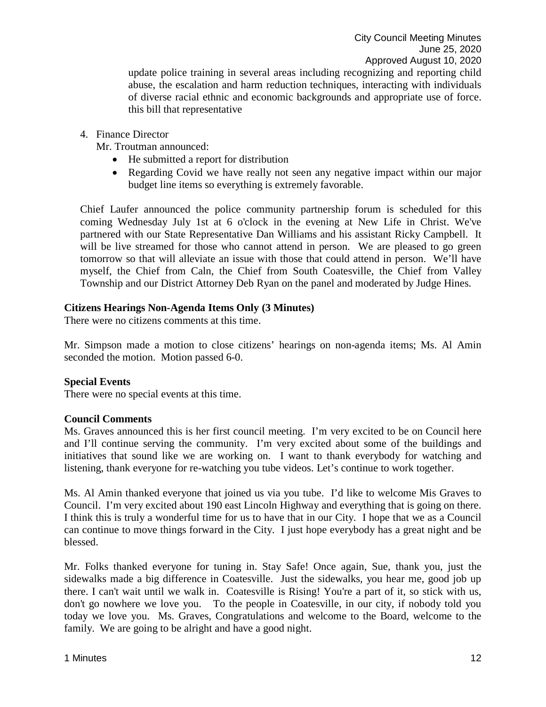update police training in several areas including recognizing and reporting child abuse, the escalation and harm reduction techniques, interacting with individuals of diverse racial ethnic and economic backgrounds and appropriate use of force. this bill that representative

4. Finance Director

Mr. Troutman announced:

- He submitted a report for distribution
- Regarding Covid we have really not seen any negative impact within our major budget line items so everything is extremely favorable.

Chief Laufer announced the police community partnership forum is scheduled for this coming Wednesday July 1st at 6 o'clock in the evening at New Life in Christ. We've partnered with our State Representative Dan Williams and his assistant Ricky Campbell. It will be live streamed for those who cannot attend in person. We are pleased to go green tomorrow so that will alleviate an issue with those that could attend in person. We'll have myself, the Chief from Caln, the Chief from South Coatesville, the Chief from Valley Township and our District Attorney Deb Ryan on the panel and moderated by Judge Hines.

## **Citizens Hearings Non-Agenda Items Only (3 Minutes)**

There were no citizens comments at this time.

Mr. Simpson made a motion to close citizens' hearings on non-agenda items; Ms. Al Amin seconded the motion. Motion passed 6-0.

#### **Special Events**

There were no special events at this time.

#### **Council Comments**

Ms. Graves announced this is her first council meeting. I'm very excited to be on Council here and I'll continue serving the community. I'm very excited about some of the buildings and initiatives that sound like we are working on. I want to thank everybody for watching and listening, thank everyone for re-watching you tube videos. Let's continue to work together.

Ms. Al Amin thanked everyone that joined us via you tube. I'd like to welcome Mis Graves to Council. I'm very excited about 190 east Lincoln Highway and everything that is going on there. I think this is truly a wonderful time for us to have that in our City. I hope that we as a Council can continue to move things forward in the City. I just hope everybody has a great night and be blessed.

Mr. Folks thanked everyone for tuning in. Stay Safe! Once again, Sue, thank you, just the sidewalks made a big difference in Coatesville. Just the sidewalks, you hear me, good job up there. I can't wait until we walk in. Coatesville is Rising! You're a part of it, so stick with us, don't go nowhere we love you. To the people in Coatesville, in our city, if nobody told you today we love you. Ms. Graves, Congratulations and welcome to the Board, welcome to the family. We are going to be alright and have a good night.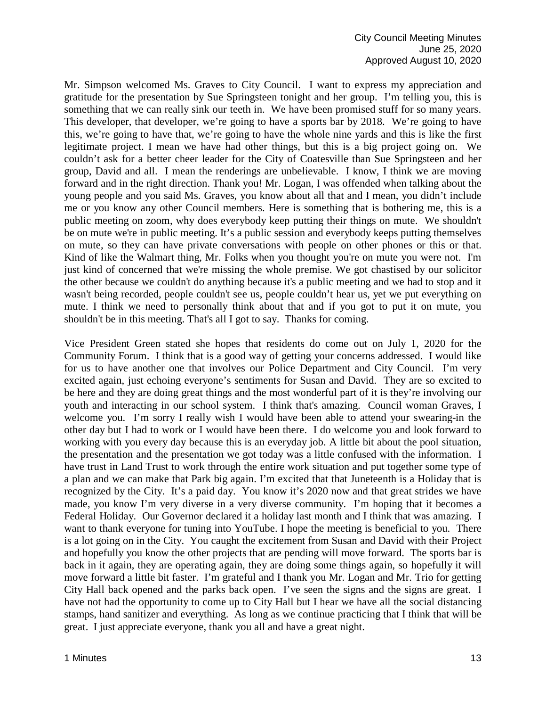Mr. Simpson welcomed Ms. Graves to City Council. I want to express my appreciation and gratitude for the presentation by Sue Springsteen tonight and her group. I'm telling you, this is something that we can really sink our teeth in. We have been promised stuff for so many years. This developer, that developer, we're going to have a sports bar by 2018. We're going to have this, we're going to have that, we're going to have the whole nine yards and this is like the first legitimate project. I mean we have had other things, but this is a big project going on. We couldn't ask for a better cheer leader for the City of Coatesville than Sue Springsteen and her group, David and all. I mean the renderings are unbelievable. I know, I think we are moving forward and in the right direction. Thank you! Mr. Logan, I was offended when talking about the young people and you said Ms. Graves, you know about all that and I mean, you didn't include me or you know any other Council members. Here is something that is bothering me, this is a public meeting on zoom, why does everybody keep putting their things on mute. We shouldn't be on mute we're in public meeting. It's a public session and everybody keeps putting themselves on mute, so they can have private conversations with people on other phones or this or that. Kind of like the Walmart thing, Mr. Folks when you thought you're on mute you were not. I'm just kind of concerned that we're missing the whole premise. We got chastised by our solicitor the other because we couldn't do anything because it's a public meeting and we had to stop and it wasn't being recorded, people couldn't see us, people couldn't hear us, yet we put everything on mute. I think we need to personally think about that and if you got to put it on mute, you shouldn't be in this meeting. That's all I got to say. Thanks for coming.

Vice President Green stated she hopes that residents do come out on July 1, 2020 for the Community Forum. I think that is a good way of getting your concerns addressed. I would like for us to have another one that involves our Police Department and City Council. I'm very excited again, just echoing everyone's sentiments for Susan and David. They are so excited to be here and they are doing great things and the most wonderful part of it is they're involving our youth and interacting in our school system. I think that's amazing. Council woman Graves, I welcome you. I'm sorry I really wish I would have been able to attend your swearing-in the other day but I had to work or I would have been there. I do welcome you and look forward to working with you every day because this is an everyday job. A little bit about the pool situation, the presentation and the presentation we got today was a little confused with the information. I have trust in Land Trust to work through the entire work situation and put together some type of a plan and we can make that Park big again. I'm excited that that Juneteenth is a Holiday that is recognized by the City. It's a paid day. You know it's 2020 now and that great strides we have made, you know I'm very diverse in a very diverse community. I'm hoping that it becomes a Federal Holiday. Our Governor declared it a holiday last month and I think that was amazing. I want to thank everyone for tuning into YouTube. I hope the meeting is beneficial to you. There is a lot going on in the City. You caught the excitement from Susan and David with their Project and hopefully you know the other projects that are pending will move forward. The sports bar is back in it again, they are operating again, they are doing some things again, so hopefully it will move forward a little bit faster. I'm grateful and I thank you Mr. Logan and Mr. Trio for getting City Hall back opened and the parks back open. I've seen the signs and the signs are great. I have not had the opportunity to come up to City Hall but I hear we have all the social distancing stamps, hand sanitizer and everything. As long as we continue practicing that I think that will be great. I just appreciate everyone, thank you all and have a great night.